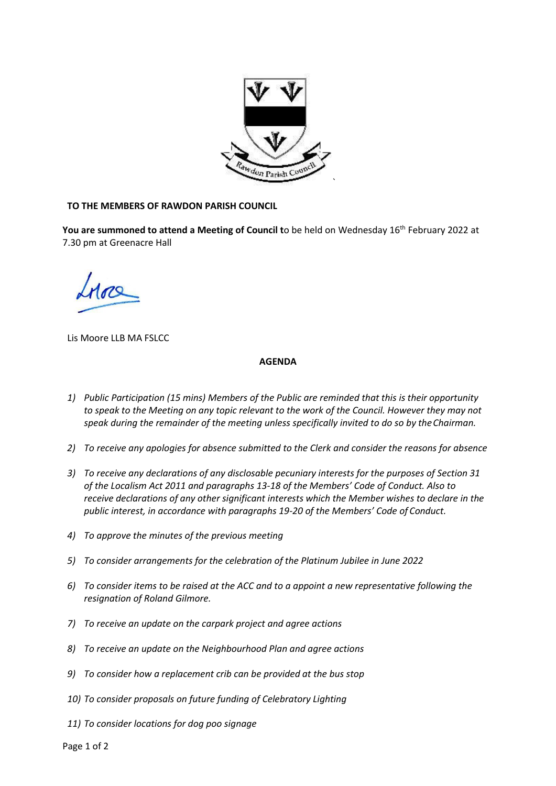

## **TO THE MEMBERS OF RAWDON PARISH COUNCIL**

You are summoned to attend a Meeting of Council to be held on Wednesday 16<sup>th</sup> February 2022 at 7.30 pm at Greenacre Hall

Lis Moore LLB MA FSLCC

## **AGENDA**

- *1) Public Participation (15 mins) Members of the Public are reminded that this is their opportunity to speak to the Meeting on any topic relevant to the work of the Council. However they may not speak during the remainder of the meeting unless specifically invited to do so by theChairman.*
- *2) To receive any apologies for absence submitted to the Clerk and consider the reasons for absence*
- *3) To receive any declarations of any disclosable pecuniary interests for the purposes of Section 31 of the Localism Act 2011 and paragraphs 13-18 of the Members' Code of Conduct. Also to receive declarations of any other significant interests which the Member wishes to declare in the public interest, in accordance with paragraphs 19-20 of the Members' Code of Conduct.*
- *4) To approve the minutes of the previous meeting*
- *5) To consider arrangements for the celebration of the Platinum Jubilee in June 2022*
- *6) To consider items to be raised at the ACC and to a appoint a new representative following the resignation of Roland Gilmore.*
- *7) To receive an update on the carpark project and agree actions*
- *8) To receive an update on the Neighbourhood Plan and agree actions*
- *9) To consider how a replacement crib can be provided at the bus stop*
- *10) To consider proposals on future funding of Celebratory Lighting*
- *11) To consider locations for dog poo signage*